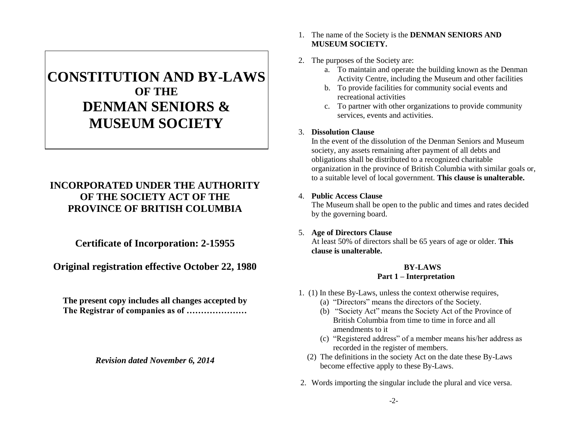# **CONSTITUTION AND BY-LAWS OF THE DENMAN SENIORS & MUSEUM SOCIETY**

# **INCORPORATED UNDER THE AUTHORITY OF THE SOCIETY ACT OF THE PROVINCE OF BRITISH COLUMBIA**

**Certificate of Incorporation: 2-15955**

**Original registration effective October 22, 1980**

**The present copy includes all changes accepted by The Registrar of companies as of …………………**

*Revision dated November 6, 2014*

## 1. The name of the Society is the **DENMAN SENIORS AND MUSEUM SOCIETY.**

- 2. The purposes of the Society are:
	- a. To maintain and operate the building known as the Denman Activity Centre, including the Museum and other facilities
	- b. To provide facilities for community social events and recreational activities
	- c. To partner with other organizations to provide community services, events and activities.

# 3. **Dissolution Clause**

In the event of the dissolution of the Denman Seniors and Museum society, any assets remaining after payment of all debts and obligations shall be distributed to a recognized charitable organization in the province of British Columbia with similar goals or, to a suitable level of local government. **This clause is unalterable.**

# 4. **Public Access Clause**

The Museum shall be open to the public and times and rates decided by the governing board.

5. **Age of Directors Clause**

At least 50% of directors shall be 65 years of age or older. **This clause is unalterable.**

# **BY-LAWS Part 1 – Interpretation**

- 1. (1) In these By-Laws, unless the context otherwise requires,
	- (a) "Directors" means the directors of the Society.
	- (b) "Society Act" means the Society Act of the Province of British Columbia from time to time in force and all amendments to it
	- (c) "Registered address" of a member means his/her address as recorded in the register of members.
	- (2) The definitions in the society Act on the date these By-Laws become effective apply to these By-Laws.
- 2. Words importing the singular include the plural and vice versa.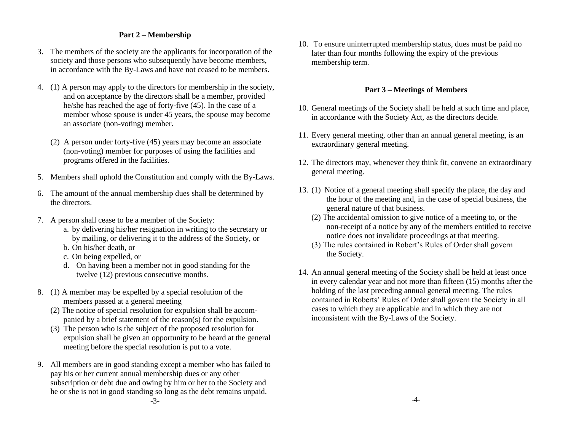## **Part 2 – Membership**

- 3. The members of the society are the applicants for incorporation of the society and those persons who subsequently have become members, in accordance with the By-Laws and have not ceased to be members.
- 4. (1) A person may apply to the directors for membership in the society, and on acceptance by the directors shall be a member, provided he/she has reached the age of forty-five (45). In the case of a member whose spouse is under 45 years, the spouse may become an associate (non-voting) member.
	- (2) A person under forty-five (45) years may become an associate (non-voting) member for purposes of using the facilities and programs offered in the facilities.
- 5. Members shall uphold the Constitution and comply with the By-Laws.
- 6. The amount of the annual membership dues shall be determined by the directors.
- 7. A person shall cease to be a member of the Society:
	- a. by delivering his/her resignation in writing to the secretary or by mailing, or delivering it to the address of the Society, or
	- b. On his/her death, or
	- c. On being expelled, or
	- d. On having been a member not in good standing for the twelve (12) previous consecutive months.
- 8. (1) A member may be expelled by a special resolution of the members passed at a general meeting
	- (2) The notice of special resolution for expulsion shall be accompanied by a brief statement of the reason(s) for the expulsion.
	- (3) The person who is the subject of the proposed resolution for expulsion shall be given an opportunity to be heard at the general meeting before the special resolution is put to a vote.
- 9. All members are in good standing except a member who has failed to pay his or her current annual membership dues or any other subscription or debt due and owing by him or her to the Society and he or she is not in good standing so long as the debt remains unpaid.

10. To ensure uninterrupted membership status, dues must be paid no later than four months following the expiry of the previous membership term.

## **Part 3 – Meetings of Members**

- 10. General meetings of the Society shall be held at such time and place, in accordance with the Society Act, as the directors decide.
- 11. Every general meeting, other than an annual general meeting, is an extraordinary general meeting.
- 12. The directors may, whenever they think fit, convene an extraordinary general meeting.
- 13. (1) Notice of a general meeting shall specify the place, the day and the hour of the meeting and, in the case of special business, the general nature of that business.
	- (2) The accidental omission to give notice of a meeting to, or the non-receipt of a notice by any of the members entitled to receive notice does not invalidate proceedings at that meeting.
	- (3) The rules contained in Robert's Rules of Order shall govern the Society.
- 14. An annual general meeting of the Society shall be held at least once in every calendar year and not more than fifteen (15) months after the holding of the last preceding annual general meeting. The rules contained in Roberts' Rules of Order shall govern the Society in all cases to which they are applicable and in which they are not inconsistent with the By-Laws of the Society.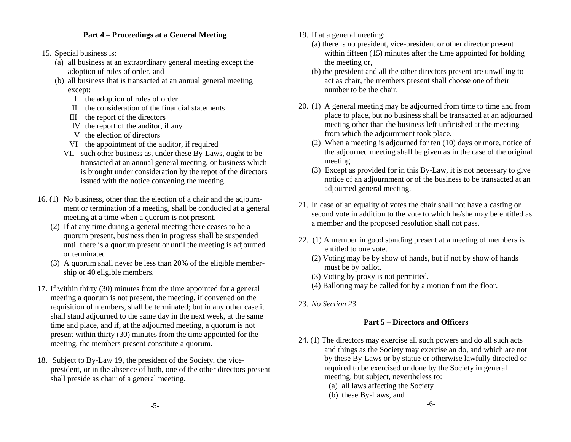## **Part 4 – Proceedings at a General Meeting**

- 15. Special business is:
	- (a) all business at an extraordinary general meeting except the adoption of rules of order, and
	- (b) all business that is transacted at an annual general meeting except:
		- I the adoption of rules of order
		- II the consideration of the financial statements
		- III the report of the directors
		- IV the report of the auditor, if any
		- V the election of directors
		- VI the appointment of the auditor, if required
		- VII such other business as, under these By-Laws, ought to be transacted at an annual general meeting, or business which is brought under consideration by the repot of the directors issued with the notice convening the meeting.
- 16. (1) No business, other than the election of a chair and the adjournment or termination of a meeting, shall be conducted at a general meeting at a time when a quorum is not present.
	- (2) If at any time during a general meeting there ceases to be a quorum present, business then in progress shall be suspended until there is a quorum present or until the meeting is adjourned or terminated.
	- (3) A quorum shall never be less than 20% of the eligible membership or 40 eligible members.
- 17. If within thirty (30) minutes from the time appointed for a general meeting a quorum is not present, the meeting, if convened on the requisition of members, shall be terminated; but in any other case it shall stand adjourned to the same day in the next week, at the same time and place, and if, at the adjourned meeting, a quorum is not present within thirty (30) minutes from the time appointed for the meeting, the members present constitute a quorum.
- 18. Subject to By-Law 19, the president of the Society, the vicepresident, or in the absence of both, one of the other directors present shall preside as chair of a general meeting.
- 19. If at a general meeting:
	- (a) there is no president, vice-president or other director present within fifteen (15) minutes after the time appointed for holding the meeting or,
	- (b) the president and all the other directors present are unwilling to act as chair, the members present shall choose one of their number to be the chair.
- 20. (1) A general meeting may be adjourned from time to time and from place to place, but no business shall be transacted at an adjourned meeting other than the business left unfinished at the meeting from which the adjournment took place.
	- (2) When a meeting is adjourned for ten (10) days or more, notice of the adjourned meeting shall be given as in the case of the original meeting.
	- (3) Except as provided for in this By-Law, it is not necessary to give notice of an adjournment or of the business to be transacted at an adjourned general meeting.
- 21. In case of an equality of votes the chair shall not have a casting or second vote in addition to the vote to which he/she may be entitled as a member and the proposed resolution shall not pass.
- 22. (1) A member in good standing present at a meeting of members is entitled to one vote.
	- (2) Voting may be by show of hands, but if not by show of hands must be by ballot.
	- (3) Voting by proxy is not permitted.
	- (4) Balloting may be called for by a motion from the floor.
- 23. *No Section 23*

# **Part 5 – Directors and Officers**

- 24. (1) The directors may exercise all such powers and do all such acts and things as the Society may exercise an do, and which are not by these By-Laws or by statue or otherwise lawfully directed or required to be exercised or done by the Society in general meeting, but subject, nevertheless to:
	- (a) all laws affecting the Society
	- (b) these By-Laws, and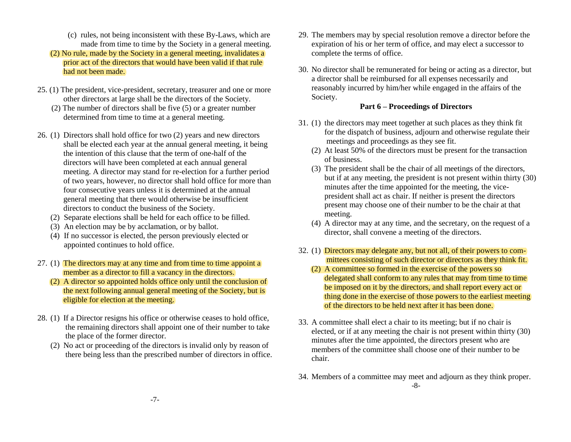- (c) rules, not being inconsistent with these By-Laws, which are made from time to time by the Society in a general meeting.
- (2) No rule, made by the Society in a general meeting, invalidates a prior act of the directors that would have been valid if that rule had not been made.
- 25. (1) The president, vice-president, secretary, treasurer and one or more other directors at large shall be the directors of the Society.
	- (2) The number of directors shall be five (5) or a greater number determined from time to time at a general meeting.
- 26. (1) Directors shall hold office for two (2) years and new directors shall be elected each year at the annual general meeting, it being the intention of this clause that the term of one-half of the directors will have been completed at each annual general meeting. A director may stand for re-election for a further period of two years, however, no director shall hold office for more than four consecutive years unless it is determined at the annual general meeting that there would otherwise be insufficient directors to conduct the business of the Society.
	- (2) Separate elections shall be held for each office to be filled.
	- (3) An election may be by acclamation, or by ballot.
	- (4) If no successor is elected, the person previously elected or appointed continues to hold office.
- 27. (1) The directors may at any time and from time to time appoint a member as a director to fill a vacancy in the directors.
	- (2) A director so appointed holds office only until the conclusion of the next following annual general meeting of the Society, but is eligible for election at the meeting.
- 28. (1) If a Director resigns his office or otherwise ceases to hold office, the remaining directors shall appoint one of their number to take the place of the former director.
	- (2) No act or proceeding of the directors is invalid only by reason of there being less than the prescribed number of directors in office.
- 29. The members may by special resolution remove a director before the expiration of his or her term of office, and may elect a successor to complete the terms of office.
- 30. No director shall be remunerated for being or acting as a director, but a director shall be reimbursed for all expenses necessarily and reasonably incurred by him/her while engaged in the affairs of the Society.

## **Part 6 – Proceedings of Directors**

- 31. (1) the directors may meet together at such places as they think fit for the dispatch of business, adjourn and otherwise regulate their meetings and proceedings as they see fit.
	- (2) At least 50% of the directors must be present for the transaction of business.
	- (3) The president shall be the chair of all meetings of the directors, but if at any meeting, the president is not present within thirty (30) minutes after the time appointed for the meeting, the vicepresident shall act as chair. If neither is present the directors present may choose one of their number to be the chair at that meeting.
	- (4) A director may at any time, and the secretary, on the request of a director, shall convene a meeting of the directors.
- 32. (1) Directors may delegate any, but not all, of their powers to committees consisting of such director or directors as they think fit.
	- (2) A committee so formed in the exercise of the powers so delegated shall conform to any rules that may from time to time be imposed on it by the directors, and shall report every act or thing done in the exercise of those powers to the earliest meeting of the directors to be held next after it has been done.
- 33. A committee shall elect a chair to its meeting; but if no chair is elected, or if at any meeting the chair is not present within thirty (30) minutes after the time appointed, the directors present who are members of the committee shall choose one of their number to be chair.
- 34. Members of a committee may meet and adjourn as they think proper. -8-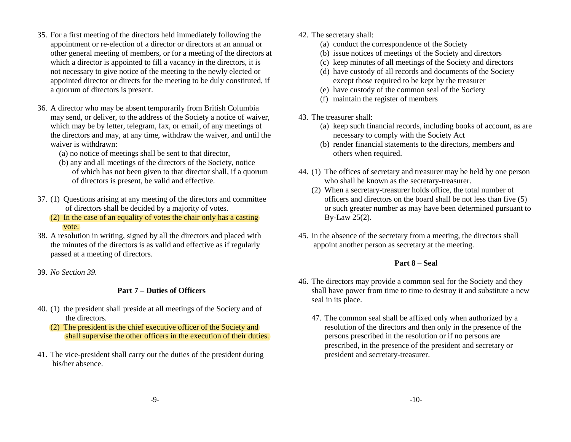- 35. For a first meeting of the directors held immediately following the appointment or re-election of a director or directors at an annual or other general meeting of members, or for a meeting of the directors at which a director is appointed to fill a vacancy in the directors, it is not necessary to give notice of the meeting to the newly elected or appointed director or directs for the meeting to be duly constituted, if a quorum of directors is present.
- 36. A director who may be absent temporarily from British Columbia may send, or deliver, to the address of the Society a notice of waiver, which may be by letter, telegram, fax, or email, of any meetings of the directors and may, at any time, withdraw the waiver, and until the waiver is withdrawn:
	- (a) no notice of meetings shall be sent to that director,
	- (b) any and all meetings of the directors of the Society, notice of which has not been given to that director shall, if a quorum of directors is present, be valid and effective.
- 37. (1) Questions arising at any meeting of the directors and committee of directors shall be decided by a majority of votes.
	- (2) In the case of an equality of votes the chair only has a casting vote.
- 38. A resolution in writing, signed by all the directors and placed with the minutes of the directors is as valid and effective as if regularly passed at a meeting of directors.
- 39. *No Section 39.*

## **Part 7 – Duties of Officers**

- 40. (1) the president shall preside at all meetings of the Society and of the directors.
	- (2) The president is the chief executive officer of the Society and shall supervise the other officers in the execution of their duties.
- 41. The vice-president shall carry out the duties of the president during his/her absence.
- 42. The secretary shall:
	- (a) conduct the correspondence of the Society
	- (b) issue notices of meetings of the Society and directors
	- (c) keep minutes of all meetings of the Society and directors
	- (d) have custody of all records and documents of the Society except those required to be kept by the treasurer
	- (e) have custody of the common seal of the Society
	- (f) maintain the register of members
- 43. The treasurer shall:
	- (a) keep such financial records, including books of account, as are necessary to comply with the Society Act
	- (b) render financial statements to the directors, members and others when required.
- 44. (1) The offices of secretary and treasurer may be held by one person who shall be known as the secretary-treasurer.
	- (2) When a secretary-treasurer holds office, the total number of officers and directors on the board shall be not less than five (5) or such greater number as may have been determined pursuant to By-Law 25(2).
- 45. In the absence of the secretary from a meeting, the directors shall appoint another person as secretary at the meeting.

## **Part 8 – Seal**

- 46. The directors may provide a common seal for the Society and they shall have power from time to time to destroy it and substitute a new seal in its place.
	- 47. The common seal shall be affixed only when authorized by a resolution of the directors and then only in the presence of the persons prescribed in the resolution or if no persons are prescribed, in the presence of the president and secretary or president and secretary-treasurer.